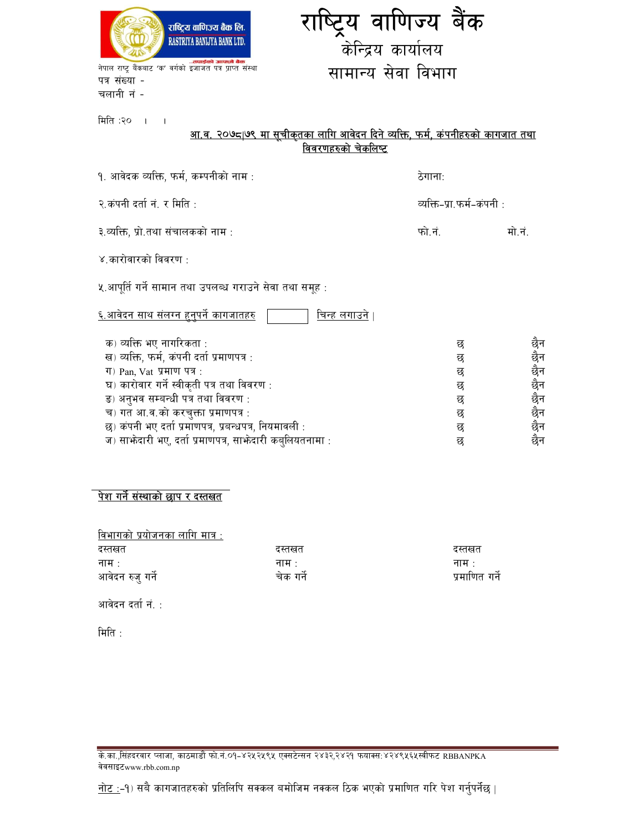

पत्र संख्या -चलानी नं -

## राष्ट्रिय वाणिज्य बैंक केन्द्रिय कार्यालय सामान्य सेवा विभाग

मिति :२० । ।

# <u>आ.व. २०७८|७९ मा सूचीकृतका लागि आवेदन दिने व्यक्ति, फर्म, कंपनीहरुको कागजात तथा ।</u><br>वि<u>वरणहरुको चेकलिष्ट</u>

| १. आवेदक व्यक्ति, फर्म, कम्पनीको नाम :                                 | ठेगानाः                   |                                       |
|------------------------------------------------------------------------|---------------------------|---------------------------------------|
| २.कंपनी दर्ता नं. र मिति:                                              | व्यक्ति-प्रा.फर्म-कंपनी : |                                       |
| ३.व्यक्ति, प्रो.तथा संचालकको नाम :                                     | फो.नं.                    | मो.नं.                                |
| ४.कारोवारको विवरण :                                                    |                           |                                       |
| ५.आपूर्ति गर्ने सामान तथा उपलब्ध गराउने सेवा तथा समूह :                |                           |                                       |
| <u>६.आवेदन साथ संलग्न हुनुपर्ने कागजातहरु</u><br><u>चिन्ह लगाउने</u> । |                           |                                       |
| क) व्यक्ति भए नागरिकता :                                               | छ                         |                                       |
| ख) व्यक्ति, फर्म, कंपनी दर्ता प्रमाणपत्र :                             | छ                         |                                       |
| ग) Pan, Vat प्रमाण पत्र:                                               | छ                         |                                       |
| घ) कारोवार गर्ने स्वीकृती पत्र तथा विवरण :                             | छ                         |                                       |
| ड) अनुभव सम्बन्धी पत्र तथा विवरण:                                      | छ                         |                                       |
| च) गत आ.व.को करचुक्ता प्रमाणपत्र:                                      | छ                         |                                       |
| छ) कंपनी भए दर्ता प्रमाणपत्र, प्रबन्धपत्र, नियमावली :                  | छ                         | छै छै छै छै छै मान न<br>पान न न न न न |
| ज) साभेदारी भए, दर्ता प्रमाणपत्र, साभेदारी कबुलियतनामा :               | छ                         |                                       |

### <u>पेश गर्ने संस्थाको छाप र दस्तखत</u>

<u>विभागको प्रयोजनका लागि मात्र :</u>

| दस्तखत           | दस्तखत            | दस्तखत            |
|------------------|-------------------|-------------------|
| नाम $\cdot$      | नाम $\, \cdot \,$ | नाम $\, \cdot \,$ |
| आवेदन रुजु गर्ने | चेक गर्ने         | प्रमाणित गर्ने    |

आवेदन दर्ता नं. :

मिति $\cdot$ 

<u>के.का.,सिंहदरवार प्लाजा, काठमाडौँ फो.नं.०१-४२५२५९५ एक्सटेन्सन २४३२,२४२१ फयाक्स:४२४९५६५स्वीफट RBBANPKA</u> वेवसाइटwww.rbb.com.np

<u>नोट :</u>-१) सबै कागजातहरुको प्रतिलिपि सक्कल बमोजिम नक्कल ठिक भएको प्रमाणित गरि पेश गर्नुपर्नेछ |